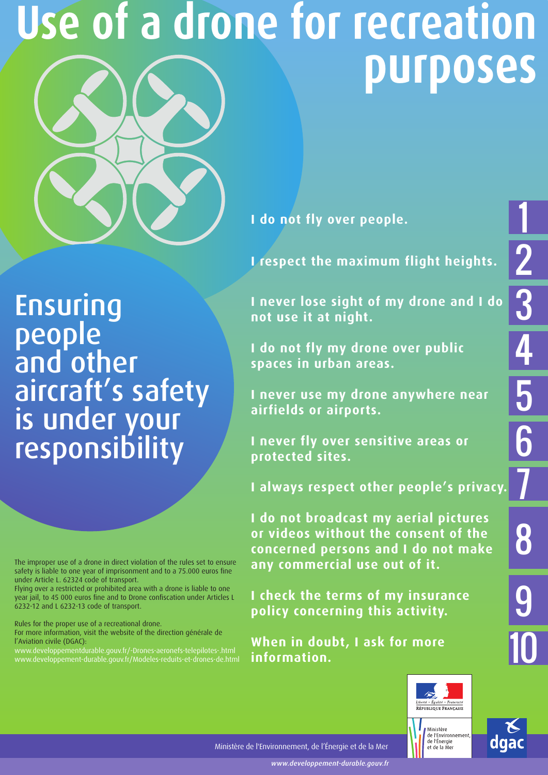# **Use of a drone for recreation purposes**



**I do not fly over people.**

**I respect the maximum flight heights.** 

Ensuring people and other aircraft's safety is under your responsibility

The improper use of a drone in direct violation of the rules set to ensure safety is liable to one year of imprisonment and to a 75.000 euros fine under Article L. 62324 code of transport.

Flying over a restricted or prohibited area with a drone is liable to one year jail, to 45 000 euros fine and to Drone confiscation under Articles L 6232-12 and L 6232-13 code of transport.

Rules for the proper use of a recreational drone.

For more information, visit the website of the direction générale de l'Aviation civile (DGAC):

www.developpementdurable.gouv.fr/-Drones-aeronefs-telepilotes-.html www.developpement-durable.gouv.fr/Modeles-reduits-et-drones-de.html **I never lose sight of my drone and I do not use it at night.** 

**I do not fly my drone over public spaces in urban areas.**

**I never use my drone anywhere near airfields or airports.**

**I never fly over sensitive areas or protected sites.**

**I always respect other people's privacy.**

**I do not broadcast my aerial pictures or videos without the consent of the concerned persons and I do not make any commercial use out of it.** 

**I check the terms of my insurance policy concerning this activity.**

**When in doubt, I ask for more information.**





1

2

3

<u>4</u>

5

6

7

8

9

10